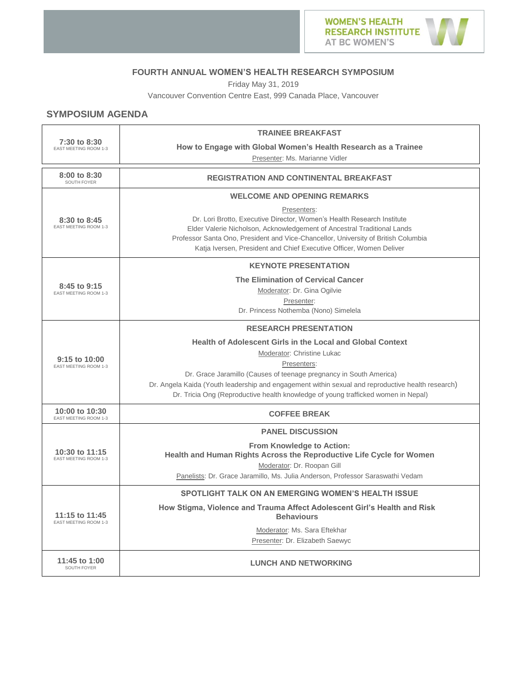

#### **FOURTH ANNUAL WOMEN'S HEALTH RESEARCH SYMPOSIUM**

Friday May 31, 2019

Vancouver Convention Centre East, 999 Canada Place, Vancouver

# **SYMPOSIUM AGENDA**

| 7:30 to 8:30<br>EAST MEETING ROOM 1-3             | <b>TRAINEE BREAKFAST</b>                                                                                                                                                                                                                                                                                                      |  |  |
|---------------------------------------------------|-------------------------------------------------------------------------------------------------------------------------------------------------------------------------------------------------------------------------------------------------------------------------------------------------------------------------------|--|--|
|                                                   | How to Engage with Global Women's Health Research as a Trainee                                                                                                                                                                                                                                                                |  |  |
|                                                   | Presenter: Ms. Marianne Vidler                                                                                                                                                                                                                                                                                                |  |  |
| 8:00 to 8:30<br>SOUTH FOYER                       | <b>REGISTRATION AND CONTINENTAL BREAKFAST</b>                                                                                                                                                                                                                                                                                 |  |  |
| 8:30 to 8:45<br>EAST MEETING ROOM 1-3             | <b>WELCOME AND OPENING REMARKS</b>                                                                                                                                                                                                                                                                                            |  |  |
|                                                   | Presenters:<br>Dr. Lori Brotto, Executive Director, Women's Health Research Institute<br>Elder Valerie Nicholson, Acknowledgement of Ancestral Traditional Lands<br>Professor Santa Ono, President and Vice-Chancellor, University of British Columbia<br>Katja Iversen, President and Chief Executive Officer, Women Deliver |  |  |
| 8:45 to 9:15<br>EAST MEETING ROOM 1-3             | <b>KEYNOTE PRESENTATION</b>                                                                                                                                                                                                                                                                                                   |  |  |
|                                                   | <b>The Elimination of Cervical Cancer</b>                                                                                                                                                                                                                                                                                     |  |  |
|                                                   | Moderator: Dr. Gina Ogilvie                                                                                                                                                                                                                                                                                                   |  |  |
|                                                   | Presenter:<br>Dr. Princess Nothemba (Nono) Simelela                                                                                                                                                                                                                                                                           |  |  |
|                                                   |                                                                                                                                                                                                                                                                                                                               |  |  |
|                                                   | <b>RESEARCH PRESENTATION</b>                                                                                                                                                                                                                                                                                                  |  |  |
|                                                   | <b>Health of Adolescent Girls in the Local and Global Context</b>                                                                                                                                                                                                                                                             |  |  |
| $9:15$ to $10:00$<br><b>EAST MEETING ROOM 1-3</b> | Moderator: Christine Lukac                                                                                                                                                                                                                                                                                                    |  |  |
|                                                   | Presenters:<br>Dr. Grace Jaramillo (Causes of teenage pregnancy in South America)                                                                                                                                                                                                                                             |  |  |
|                                                   | Dr. Angela Kaida (Youth leadership and engagement within sexual and reproductive health research)                                                                                                                                                                                                                             |  |  |
|                                                   | Dr. Tricia Ong (Reproductive health knowledge of young trafficked women in Nepal)                                                                                                                                                                                                                                             |  |  |
| 10:00 to 10:30<br>EAST MEETING ROOM 1-3           | <b>COFFEE BREAK</b>                                                                                                                                                                                                                                                                                                           |  |  |
| 10:30 to 11:15<br>EAST MEETING ROOM 1-3           | <b>PANEL DISCUSSION</b>                                                                                                                                                                                                                                                                                                       |  |  |
|                                                   | <b>From Knowledge to Action:</b>                                                                                                                                                                                                                                                                                              |  |  |
|                                                   | Health and Human Rights Across the Reproductive Life Cycle for Women                                                                                                                                                                                                                                                          |  |  |
|                                                   | Moderator: Dr. Roopan Gill<br>Panelists: Dr. Grace Jaramillo, Ms. Julia Anderson, Professor Saraswathi Vedam                                                                                                                                                                                                                  |  |  |
|                                                   |                                                                                                                                                                                                                                                                                                                               |  |  |
| 11:15 to 11:45<br><b>EAST MEETING ROOM 1-3</b>    | SPOTLIGHT TALK ON AN EMERGING WOMEN'S HEALTH ISSUE                                                                                                                                                                                                                                                                            |  |  |
|                                                   | How Stigma, Violence and Trauma Affect Adolescent Girl's Health and Risk<br><b>Behaviours</b>                                                                                                                                                                                                                                 |  |  |
|                                                   | Moderator: Ms. Sara Eftekhar                                                                                                                                                                                                                                                                                                  |  |  |
|                                                   | Presenter: Dr. Elizabeth Saewyc                                                                                                                                                                                                                                                                                               |  |  |
| 11:45 to 1:00<br>SOUTH FOYER                      | <b>LUNCH AND NETWORKING</b>                                                                                                                                                                                                                                                                                                   |  |  |